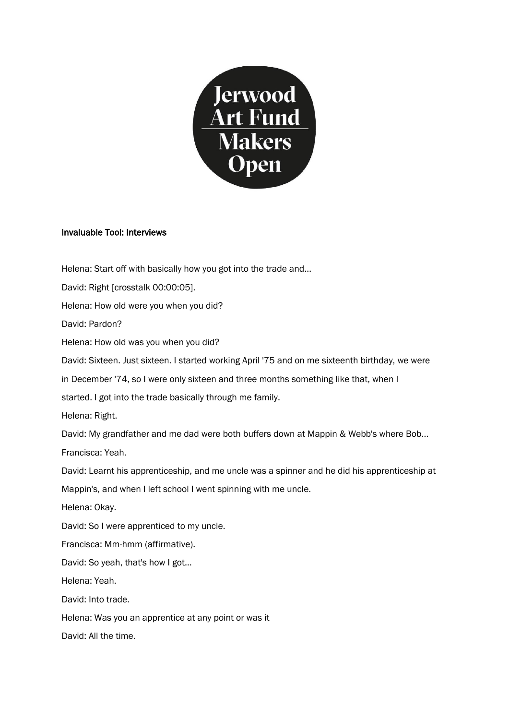

## Invaluable Tool: Interviews

Helena: Start off with basically how you got into the trade and... David: Right [crosstalk 00:00:05]. Helena: How old were you when you did? David: Pardon? Helena: How old was you when you did? David: Sixteen. Just sixteen. I started working April '75 and on me sixteenth birthday, we were in December '74, so I were only sixteen and three months something like that, when I started. I got into the trade basically through me family. Helena: Right. David: My grandfather and me dad were both buffers down at Mappin & Webb's where Bob... Francisca: Yeah. David: Learnt his apprenticeship, and me uncle was a spinner and he did his apprenticeship at Mappin's, and when I left school I went spinning with me uncle. Helena: Okay. David: So I were apprenticed to my uncle. Francisca: Mm-hmm (affirmative). David: So yeah, that's how I got... Helena: Yeah. David: Into trade. Helena: Was you an apprentice at any point or was it David: All the time.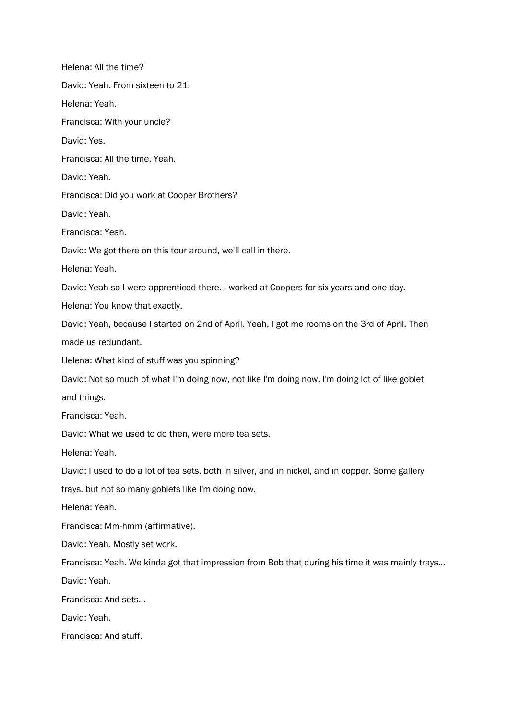Helena: All the time? David: Yeah. From sixteen to 21. Helena: Yeah. Francisca: With your uncle? David: Yes. Francisca: All the time. Yeah. David: Yeah. Francisca: Did you work at Cooper Brothers? David: Yeah. Francisca: Yeah. David: We got there on this tour around, we'll call in there. Helena: Yeah. David: Yeah so I were apprenticed there. I worked at Coopers for six years and one day. Helena: You know that exactly. David: Yeah, because I started on 2nd of April. Yeah, I got me rooms on the 3rd of April. Then made us redundant. Helena: What kind of stuff was you spinning? David: Not so much of what I'm doing now, not like I'm doing now. I'm doing lot of like goblet and things. Francisca: Yeah. David: What we used to do then, were more tea sets. Helena: Yeah. David: I used to do a lot of tea sets, both in silver, and in nickel, and in copper. Some gallery trays, but not so many goblets like I'm doing now. Helena: Yeah. Francisca: Mm-hmm (affirmative). David: Yeah. Mostly set work. Francisca: Yeah. We kinda got that impression from Bob that during his time it was mainly trays... David: Yeah. Francisca: And sets... David: Yeah. Francisca: And stuff.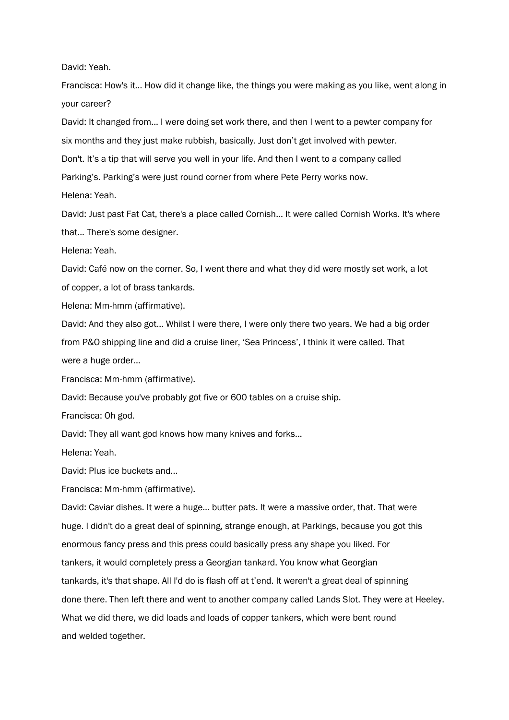David: Yeah.

Francisca: How's it... How did it change like, the things you were making as you like, went along in your career?

David: It changed from... I were doing set work there, and then I went to a pewter company for six months and they just make rubbish, basically. Just don't get involved with pewter.

Don't. It's a tip that will serve you well in your life. And then I went to a company called

Parking's. Parking's were just round corner from where Pete Perry works now.

Helena: Yeah.

David: Just past Fat Cat, there's a place called Cornish... It were called Cornish Works. It's where that... There's some designer.

Helena: Yeah.

David: Café now on the corner. So, I went there and what they did were mostly set work, a lot of copper, a lot of brass tankards.

Helena: Mm-hmm (affirmative).

David: And they also got... Whilst I were there, I were only there two years. We had a big order from P&O shipping line and did a cruise liner, 'Sea Princess', I think it were called. That were a huge order...

Francisca: Mm-hmm (affirmative).

David: Because you've probably got five or 600 tables on a cruise ship.

Francisca: Oh god.

David: They all want god knows how many knives and forks...

Helena: Yeah.

David: Plus ice buckets and...

Francisca: Mm-hmm (affirmative).

David: Caviar dishes. It were a huge… butter pats. It were a massive order, that. That were huge. I didn't do a great deal of spinning, strange enough, at Parkings, because you got this enormous fancy press and this press could basically press any shape you liked. For tankers, it would completely press a Georgian tankard. You know what Georgian tankards, it's that shape. All I'd do is flash off at t'end. It weren't a great deal of spinning done there. Then left there and went to another company called Lands Slot. They were at Heeley. What we did there, we did loads and loads of copper tankers, which were bent round and welded together.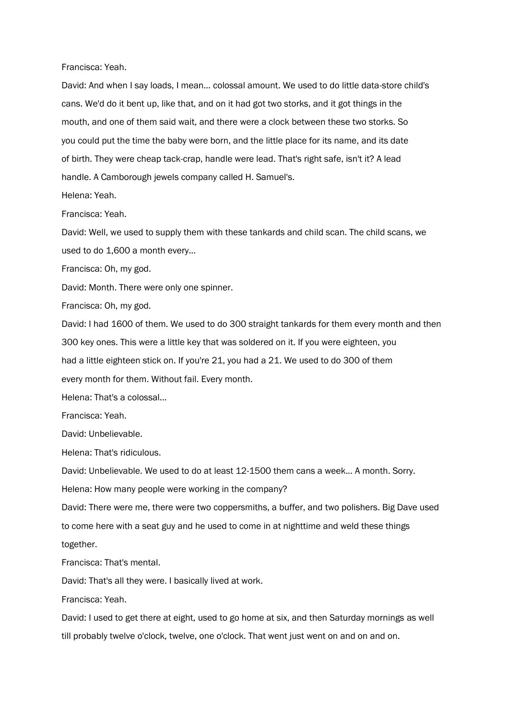Francisca: Yeah.

David: And when I say loads, I mean… colossal amount. We used to do little data-store child's cans. We'd do it bent up, like that, and on it had got two storks, and it got things in the mouth, and one of them said wait, and there were a clock between these two storks. So you could put the time the baby were born, and the little place for its name, and its date of birth. They were cheap tack-crap, handle were lead. That's right safe, isn't it? A lead handle. A Camborough jewels company called H. Samuel's.

Helena: Yeah.

Francisca: Yeah.

David: Well, we used to supply them with these tankards and child scan. The child scans, we used to do 1,600 a month every...

Francisca: Oh, my god.

David: Month. There were only one spinner.

Francisca: Oh, my god.

David: I had 1600 of them. We used to do 300 straight tankards for them every month and then 300 key ones. This were a little key that was soldered on it. If you were eighteen, you had a little eighteen stick on. If you're 21, you had a 21. We used to do 300 of them every month for them. Without fail. Every month.

Helena: That's a colossal...

Francisca: Yeah.

David: Unbelievable.

Helena: That's ridiculous.

David: Unbelievable. We used to do at least 12-1500 them cans a week... A month. Sorry.

Helena: How many people were working in the company?

David: There were me, there were two coppersmiths, a buffer, and two polishers. Big Dave used to come here with a seat guy and he used to come in at nighttime and weld these things together.

Francisca: That's mental.

David: That's all they were. I basically lived at work.

Francisca: Yeah.

David: I used to get there at eight, used to go home at six, and then Saturday mornings as well till probably twelve o'clock, twelve, one o'clock. That went just went on and on and on.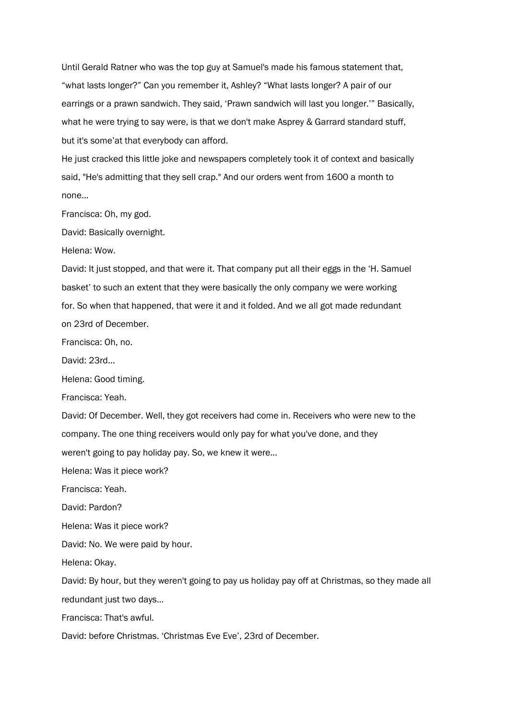Until Gerald Ratner who was the top guy at Samuel's made his famous statement that, "what lasts longer?" Can you remember it, Ashley? "What lasts longer? A pair of our earrings or a prawn sandwich. They said, 'Prawn sandwich will last you longer.'" Basically, what he were trying to say were, is that we don't make Asprey & Garrard standard stuff, but it's some'at that everybody can afford.

He just cracked this little joke and newspapers completely took it of context and basically said, "He's admitting that they sell crap." And our orders went from 1600 a month to none...

Francisca: Oh, my god.

David: Basically overnight.

Helena: Wow.

David: It just stopped, and that were it. That company put all their eggs in the 'H. Samuel basket' to such an extent that they were basically the only company we were working for. So when that happened, that were it and it folded. And we all got made redundant on 23rd of December.

Francisca: Oh, no.

David: 23rd...

Helena: Good timing.

Francisca: Yeah.

David: Of December. Well, they got receivers had come in. Receivers who were new to the company. The one thing receivers would only pay for what you've done, and they

weren't going to pay holiday pay. So, we knew it were...

Helena: Was it piece work?

Francisca: Yeah.

David: Pardon?

Helena: Was it piece work?

David: No. We were paid by hour.

Helena: Okay.

David: By hour, but they weren't going to pay us holiday pay off at Christmas, so they made all redundant just two days...

Francisca: That's awful.

David: before Christmas. 'Christmas Eve Eve', 23rd of December.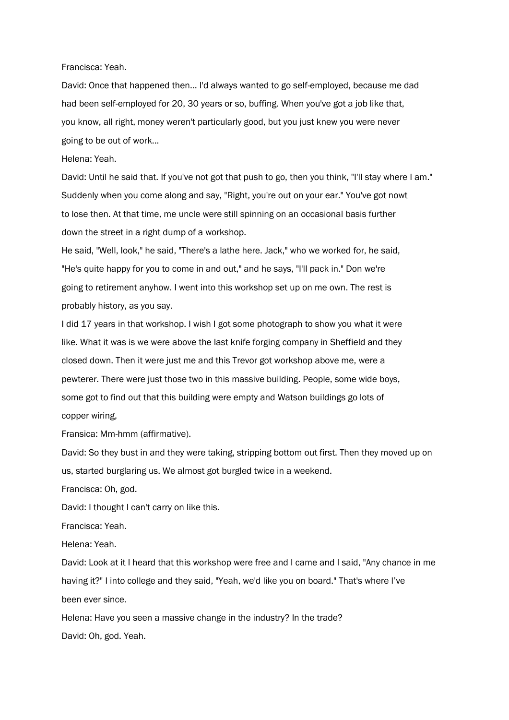## Francisca: Yeah.

David: Once that happened then… I'd always wanted to go self-employed, because me dad had been self-employed for 20, 30 years or so, buffing. When you've got a job like that, you know, all right, money weren't particularly good, but you just knew you were never going to be out of work...

## Helena: Yeah.

David: Until he said that. If you've not got that push to go, then you think, "I'll stay where I am." Suddenly when you come along and say, "Right, you're out on your ear." You've got nowt to lose then. At that time, me uncle were still spinning on an occasional basis further down the street in a right dump of a workshop.

He said, "Well, look," he said, "There's a lathe here. Jack," who we worked for, he said, "He's quite happy for you to come in and out," and he says, "I'll pack in." Don we're going to retirement anyhow. I went into this workshop set up on me own. The rest is probably history, as you say.

I did 17 years in that workshop. I wish I got some photograph to show you what it were like. What it was is we were above the last knife forging company in Sheffield and they closed down. Then it were just me and this Trevor got workshop above me, were a pewterer. There were just those two in this massive building. People, some wide boys, some got to find out that this building were empty and Watson buildings go lots of copper wiring,

Fransica: Mm-hmm (affirmative).

David: So they bust in and they were taking, stripping bottom out first. Then they moved up on us, started burglaring us. We almost got burgled twice in a weekend.

Francisca: Oh, god.

David: I thought I can't carry on like this.

Francisca: Yeah.

Helena: Yeah.

David: Look at it I heard that this workshop were free and I came and I said, "Any chance in me having it?" I into college and they said, "Yeah, we'd like you on board." That's where I've been ever since.

Helena: Have you seen a massive change in the industry? In the trade? David: Oh, god. Yeah.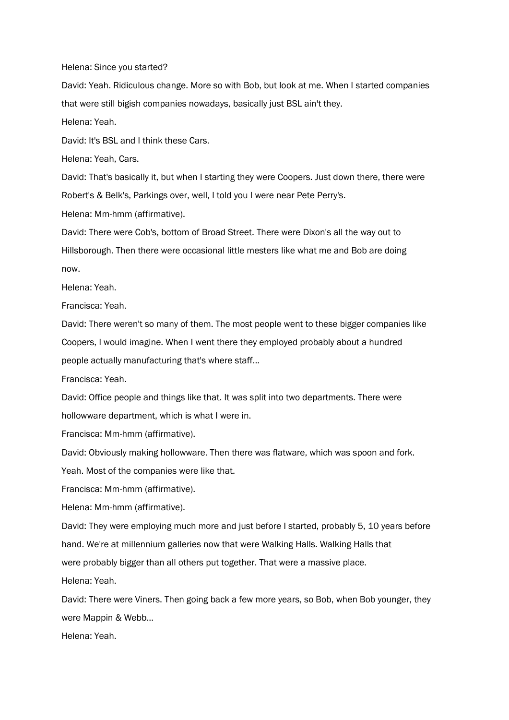Helena: Since you started?

David: Yeah. Ridiculous change. More so with Bob, but look at me. When I started companies that were still bigish companies nowadays, basically just BSL ain't they.

Helena: Yeah.

David: It's BSL and I think these Cars.

Helena: Yeah, Cars.

David: That's basically it, but when I starting they were Coopers. Just down there, there were Robert's & Belk's, Parkings over, well, I told you I were near Pete Perry's.

Helena: Mm-hmm (affirmative).

David: There were Cob's, bottom of Broad Street. There were Dixon's all the way out to Hillsborough. Then there were occasional little mesters like what me and Bob are doing now.

Helena: Yeah.

Francisca: Yeah.

David: There weren't so many of them. The most people went to these bigger companies like Coopers, I would imagine. When I went there they employed probably about a hundred people actually manufacturing that's where staff...

Francisca: Yeah.

David: Office people and things like that. It was split into two departments. There were hollowware department, which is what I were in.

Francisca: Mm-hmm (affirmative).

David: Obviously making hollowware. Then there was flatware, which was spoon and fork.

Yeah. Most of the companies were like that.

Francisca: Mm-hmm (affirmative).

Helena: Mm-hmm (affirmative).

David: They were employing much more and just before I started, probably 5, 10 years before hand. We're at millennium galleries now that were Walking Halls. Walking Halls that were probably bigger than all others put together. That were a massive place.

Helena: Yeah.

David: There were Viners. Then going back a few more years, so Bob, when Bob younger, they were Mappin & Webb...

Helena: Yeah.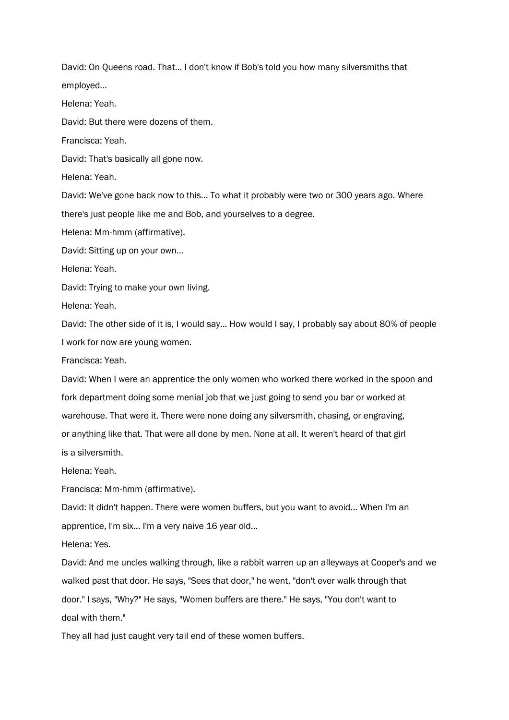David: On Queens road. That... I don't know if Bob's told you how many silversmiths that employed…

Helena: Yeah.

David: But there were dozens of them.

Francisca: Yeah.

David: That's basically all gone now.

Helena: Yeah.

David: We've gone back now to this... To what it probably were two or 300 years ago. Where there's just people like me and Bob, and yourselves to a degree.

Helena: Mm-hmm (affirmative).

David: Sitting up on your own...

Helena: Yeah.

David: Trying to make your own living.

Helena: Yeah.

David: The other side of it is, I would say... How would I say, I probably say about 80% of people I work for now are young women.

Francisca: Yeah.

David: When I were an apprentice the only women who worked there worked in the spoon and fork department doing some menial job that we just going to send you bar or worked at warehouse. That were it. There were none doing any silversmith, chasing, or engraving, or anything like that. That were all done by men. None at all. It weren't heard of that girl is a silversmith.

Helena: Yeah.

Francisca: Mm-hmm (affirmative).

David: It didn't happen. There were women buffers, but you want to avoid... When I'm an apprentice, I'm six... I'm a very naive 16 year old…

Helena: Yes.

David: And me uncles walking through, like a rabbit warren up an alleyways at Cooper's and we walked past that door. He says, "Sees that door," he went, "don't ever walk through that door." I says, "Why?" He says, "Women buffers are there." He says, "You don't want to deal with them."

They all had just caught very tail end of these women buffers.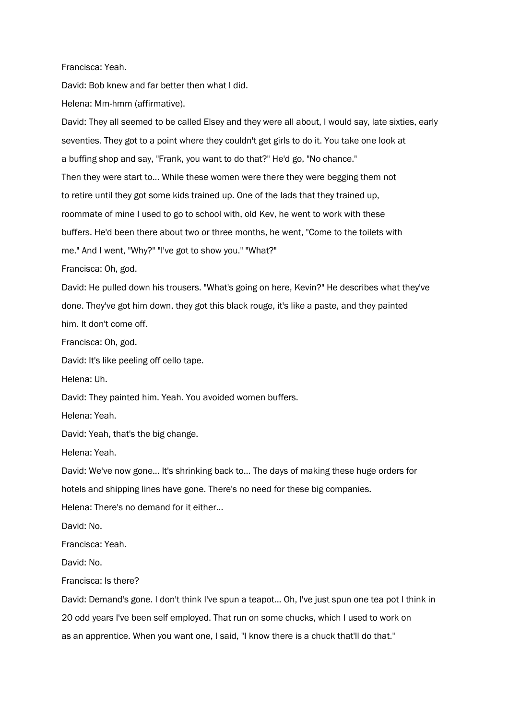Francisca: Yeah.

David: Bob knew and far better then what I did.

Helena: Mm-hmm (affirmative).

David: They all seemed to be called Elsey and they were all about, I would say, late sixties, early seventies. They got to a point where they couldn't get girls to do it. You take one look at a buffing shop and say, "Frank, you want to do that?" He'd go, "No chance." Then they were start to... While these women were there they were begging them not to retire until they got some kids trained up. One of the lads that they trained up, roommate of mine I used to go to school with, old Kev, he went to work with these buffers. He'd been there about two or three months, he went, "Come to the toilets with me." And I went, "Why?" "I've got to show you." "What?"

Francisca: Oh, god.

David: He pulled down his trousers. "What's going on here, Kevin?" He describes what they've done. They've got him down, they got this black rouge, it's like a paste, and they painted him. It don't come off.

Francisca: Oh, god.

David: It's like peeling off cello tape.

Helena: Uh.

David: They painted him. Yeah. You avoided women buffers.

Helena: Yeah.

David: Yeah, that's the big change.

Helena: Yeah.

David: We've now gone... It's shrinking back to... The days of making these huge orders for hotels and shipping lines have gone. There's no need for these big companies.

Helena: There's no demand for it either...

David: No.

Francisca: Yeah.

David: No.

Francisca: Is there?

David: Demand's gone. I don't think I've spun a teapot... Oh, I've just spun one tea pot I think in 20 odd years I've been self employed. That run on some chucks, which I used to work on as an apprentice. When you want one, I said, "I know there is a chuck that'll do that."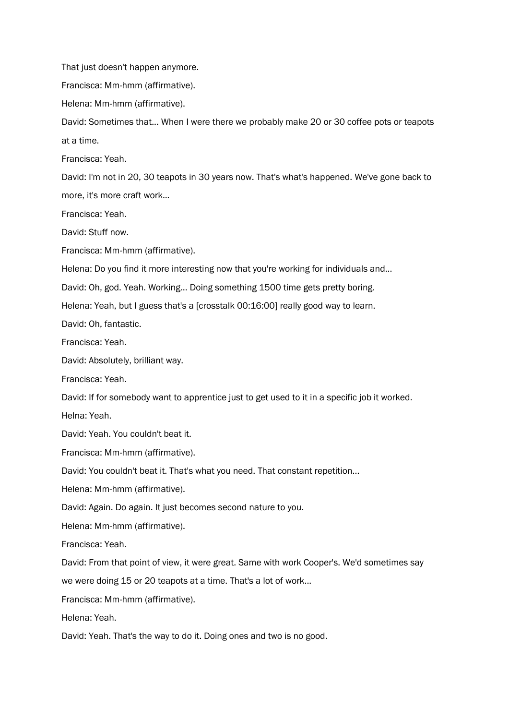That just doesn't happen anymore.

Francisca: Mm-hmm (affirmative).

Helena: Mm-hmm (affirmative).

David: Sometimes that... When I were there we probably make 20 or 30 coffee pots or teapots at a time.

Francisca: Yeah.

David: I'm not in 20, 30 teapots in 30 years now. That's what's happened. We've gone back to more, it's more craft work...

Francisca: Yeah.

David: Stuff now.

Francisca: Mm-hmm (affirmative).

Helena: Do you find it more interesting now that you're working for individuals and...

David: Oh, god. Yeah. Working... Doing something 1500 time gets pretty boring.

Helena: Yeah, but I guess that's a [crosstalk 00:16:00] really good way to learn.

David: Oh, fantastic.

Francisca: Yeah.

David: Absolutely, brilliant way.

Francisca: Yeah.

David: If for somebody want to apprentice just to get used to it in a specific job it worked.

Helna: Yeah.

David: Yeah. You couldn't beat it.

Francisca: Mm-hmm (affirmative).

David: You couldn't beat it. That's what you need. That constant repetition...

Helena: Mm-hmm (affirmative).

David: Again. Do again. It just becomes second nature to you.

Helena: Mm-hmm (affirmative).

Francisca: Yeah.

David: From that point of view, it were great. Same with work Cooper's. We'd sometimes say

we were doing 15 or 20 teapots at a time. That's a lot of work...

Francisca: Mm-hmm (affirmative).

Helena: Yeah.

David: Yeah. That's the way to do it. Doing ones and two is no good.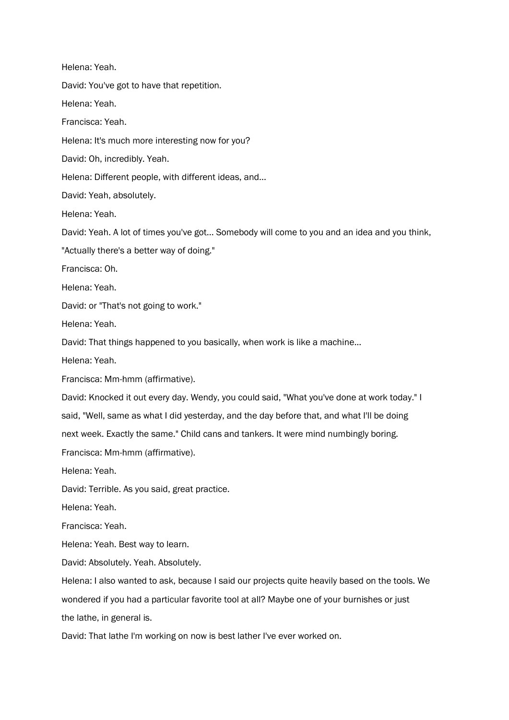Helena: Yeah. David: You've got to have that repetition. Helena: Yeah. Francisca: Yeah. Helena: It's much more interesting now for you? David: Oh, incredibly. Yeah. Helena: Different people, with different ideas, and... David: Yeah, absolutely. Helena: Yeah. David: Yeah. A lot of times you've got... Somebody will come to you and an idea and you think, "Actually there's a better way of doing." Francisca: Oh. Helena: Yeah. David: or "That's not going to work." Helena: Yeah. David: That things happened to you basically, when work is like a machine... Helena: Yeah. Francisca: Mm-hmm (affirmative). David: Knocked it out every day. Wendy, you could said, "What you've done at work today." I said, "Well, same as what I did yesterday, and the day before that, and what I'll be doing next week. Exactly the same." Child cans and tankers. It were mind numbingly boring. Francisca: Mm-hmm (affirmative). Helena: Yeah. David: Terrible. As you said, great practice. Helena: Yeah. Francisca: Yeah. Helena: Yeah. Best way to learn. David: Absolutely. Yeah. Absolutely. Helena: I also wanted to ask, because I said our projects quite heavily based on the tools. We wondered if you had a particular favorite tool at all? Maybe one of your burnishes or just the lathe, in general is. David: That lathe I'm working on now is best lather I've ever worked on.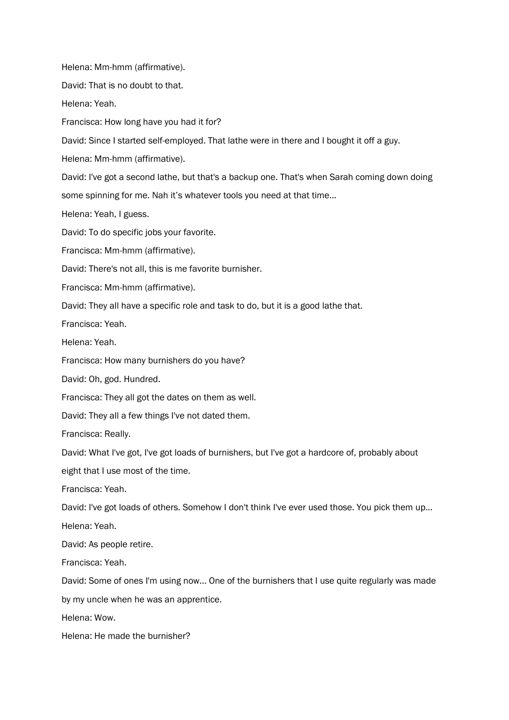Helena: Mm-hmm (affirmative).

David: That is no doubt to that.

Helena: Yeah.

Francisca: How long have you had it for?

David: Since I started self-employed. That lathe were in there and I bought it off a guy.

Helena: Mm-hmm (affirmative).

David: I've got a second lathe, but that's a backup one. That's when Sarah coming down doing some spinning for me. Nah it's whatever tools you need at that time...

Helena: Yeah, I guess.

David: To do specific jobs your favorite.

Francisca: Mm-hmm (affirmative).

David: There's not all, this is me favorite burnisher.

Francisca: Mm-hmm (affirmative).

David: They all have a specific role and task to do, but it is a good lathe that.

Francisca: Yeah.

Helena: Yeah.

Francisca: How many burnishers do you have?

David: Oh, god. Hundred.

Francisca: They all got the dates on them as well.

David: They all a few things I've not dated them.

Francisca: Really.

David: What I've got, I've got loads of burnishers, but I've got a hardcore of, probably about

eight that I use most of the time.

Francisca: Yeah.

David: I've got loads of others. Somehow I don't think I've ever used those. You pick them up... Helena: Yeah.

David: As people retire.

Francisca: Yeah.

David: Some of ones I'm using now... One of the burnishers that I use quite regularly was made

by my uncle when he was an apprentice.

Helena: Wow.

Helena: He made the burnisher?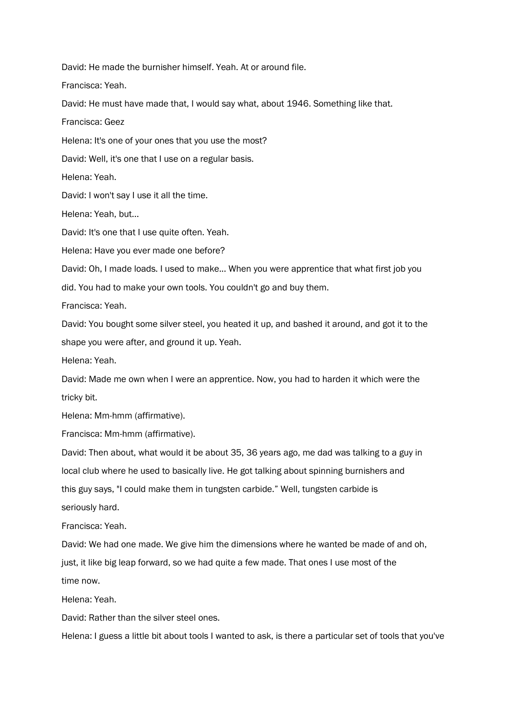David: He made the burnisher himself. Yeah. At or around file.

Francisca: Yeah.

David: He must have made that, I would say what, about 1946. Something like that.

Francisca: Geez

Helena: It's one of your ones that you use the most?

David: Well, it's one that I use on a regular basis.

Helena: Yeah.

David: I won't say I use it all the time.

Helena: Yeah, but...

David: It's one that I use quite often. Yeah.

Helena: Have you ever made one before?

David: Oh, I made loads. I used to make... When you were apprentice that what first job you

did. You had to make your own tools. You couldn't go and buy them.

Francisca: Yeah.

David: You bought some silver steel, you heated it up, and bashed it around, and got it to the shape you were after, and ground it up. Yeah.

Helena: Yeah.

David: Made me own when I were an apprentice. Now, you had to harden it which were the tricky bit.

Helena: Mm-hmm (affirmative).

Francisca: Mm-hmm (affirmative).

David: Then about, what would it be about 35, 36 years ago, me dad was talking to a guy in local club where he used to basically live. He got talking about spinning burnishers and this guy says, "I could make them in tungsten carbide." Well, tungsten carbide is seriously hard.

Francisca: Yeah.

David: We had one made. We give him the dimensions where he wanted be made of and oh, just, it like big leap forward, so we had quite a few made. That ones I use most of the time now.

Helena: Yeah.

David: Rather than the silver steel ones.

Helena: I guess a little bit about tools I wanted to ask, is there a particular set of tools that you've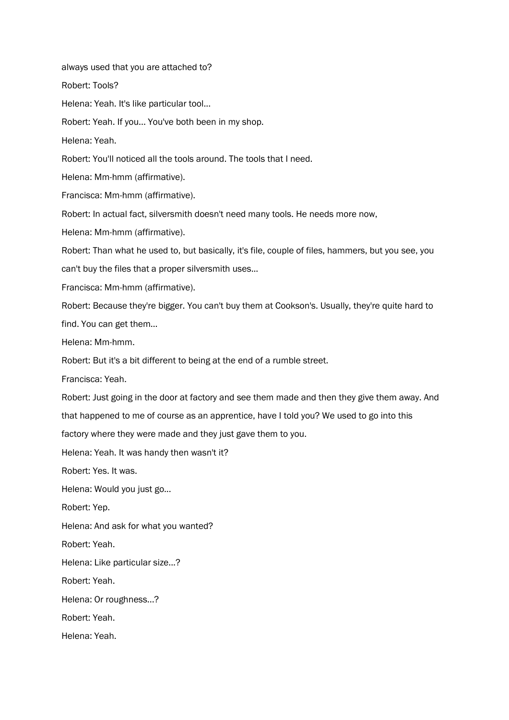always used that you are attached to? Robert: Tools? Helena: Yeah. It's like particular tool... Robert: Yeah. If you... You've both been in my shop. Helena: Yeah. Robert: You'll noticed all the tools around. The tools that I need. Helena: Mm-hmm (affirmative). Francisca: Mm-hmm (affirmative). Robert: In actual fact, silversmith doesn't need many tools. He needs more now, Helena: Mm-hmm (affirmative). Robert: Than what he used to, but basically, it's file, couple of files, hammers, but you see, you can't buy the files that a proper silversmith uses... Francisca: Mm-hmm (affirmative). Robert: Because they're bigger. You can't buy them at Cookson's. Usually, they're quite hard to find. You can get them… Helena: Mm-hmm. Robert: But it's a bit different to being at the end of a rumble street. Francisca: Yeah. Robert: Just going in the door at factory and see them made and then they give them away. And that happened to me of course as an apprentice, have I told you? We used to go into this factory where they were made and they just gave them to you. Helena: Yeah. It was handy then wasn't it? Robert: Yes. It was. Helena: Would you just go... Robert: Yep. Helena: And ask for what you wanted? Robert: Yeah. Helena: Like particular size...? Robert: Yeah. Helena: Or roughness...? Robert: Yeah. Helena: Yeah.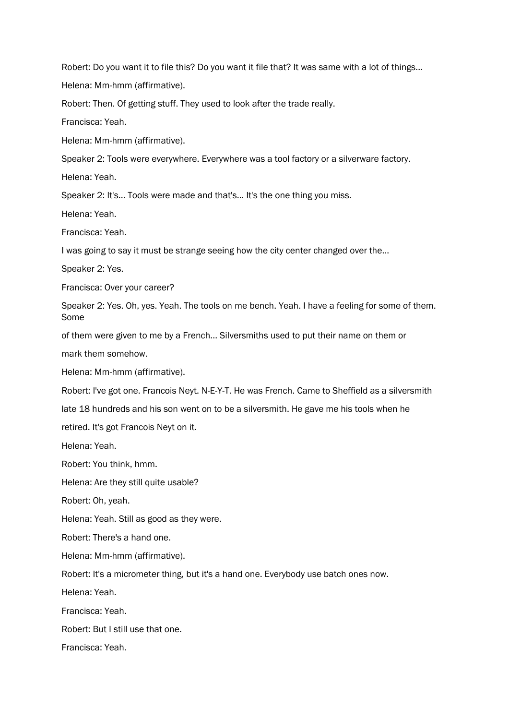Robert: Do you want it to file this? Do you want it file that? It was same with a lot of things...

Helena: Mm-hmm (affirmative).

Robert: Then. Of getting stuff. They used to look after the trade really.

Francisca: Yeah.

Helena: Mm-hmm (affirmative).

Speaker 2: Tools were everywhere. Everywhere was a tool factory or a silverware factory.

Helena: Yeah.

Speaker 2: It's... Tools were made and that's... It's the one thing you miss.

Helena: Yeah.

Francisca: Yeah.

I was going to say it must be strange seeing how the city center changed over the...

Speaker 2: Yes.

Francisca: Over your career?

Speaker 2: Yes. Oh, yes. Yeah. The tools on me bench. Yeah. I have a feeling for some of them. Some

of them were given to me by a French... Silversmiths used to put their name on them or

mark them somehow.

Helena: Mm-hmm (affirmative).

Robert: I've got one. Francois Neyt. N-E-Y-T. He was French. Came to Sheffield as a silversmith

late 18 hundreds and his son went on to be a silversmith. He gave me his tools when he

retired. It's got Francois Neyt on it.

Helena: Yeah.

Robert: You think, hmm.

Helena: Are they still quite usable?

Robert: Oh, yeah.

Helena: Yeah. Still as good as they were.

Robert: There's a hand one.

Helena: Mm-hmm (affirmative).

Robert: It's a micrometer thing, but it's a hand one. Everybody use batch ones now.

Helena: Yeah.

Francisca: Yeah.

Robert: But I still use that one.

Francisca: Yeah.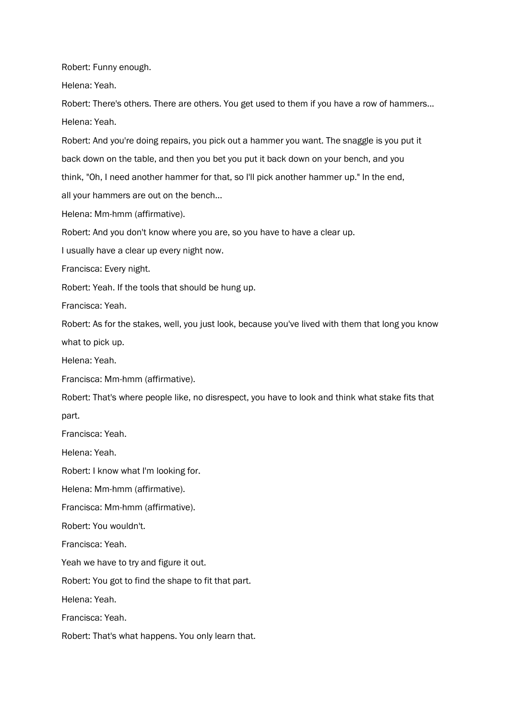Robert: Funny enough.

Helena: Yeah.

Robert: There's others. There are others. You get used to them if you have a row of hammers... Helena: Yeah.

Robert: And you're doing repairs, you pick out a hammer you want. The snaggle is you put it back down on the table, and then you bet you put it back down on your bench, and you think, "Oh, I need another hammer for that, so I'll pick another hammer up." In the end, all your hammers are out on the bench...

Helena: Mm-hmm (affirmative).

Robert: And you don't know where you are, so you have to have a clear up.

I usually have a clear up every night now.

Francisca: Every night.

Robert: Yeah. If the tools that should be hung up.

Francisca: Yeah.

Robert: As for the stakes, well, you just look, because you've lived with them that long you know what to pick up.

Helena: Yeah.

Francisca: Mm-hmm (affirmative).

Robert: That's where people like, no disrespect, you have to look and think what stake fits that part.

Francisca: Yeah.

Helena: Yeah.

Robert: I know what I'm looking for.

Helena: Mm-hmm (affirmative).

Francisca: Mm-hmm (affirmative).

Robert: You wouldn't.

Francisca: Yeah.

Yeah we have to try and figure it out.

Robert: You got to find the shape to fit that part.

Helena: Yeah.

Francisca: Yeah.

Robert: That's what happens. You only learn that.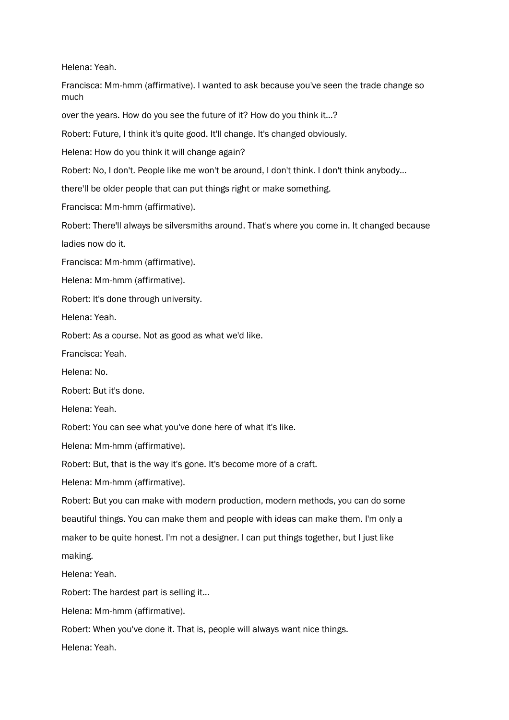Helena: Yeah.

Francisca: Mm-hmm (affirmative). I wanted to ask because you've seen the trade change so much

over the years. How do you see the future of it? How do you think it...?

Robert: Future, I think it's quite good. It'll change. It's changed obviously.

Helena: How do you think it will change again?

Robert: No, I don't. People like me won't be around, I don't think. I don't think anybody…

there'll be older people that can put things right or make something.

Francisca: Mm-hmm (affirmative).

Robert: There'll always be silversmiths around. That's where you come in. It changed because ladies now do it.

Francisca: Mm-hmm (affirmative).

Helena: Mm-hmm (affirmative).

Robert: It's done through university.

Helena: Yeah.

Robert: As a course. Not as good as what we'd like.

Francisca: Yeah.

Helena: No.

Robert: But it's done.

Helena: Yeah.

Robert: You can see what you've done here of what it's like.

Helena: Mm-hmm (affirmative).

Robert: But, that is the way it's gone. It's become more of a craft.

Helena: Mm-hmm (affirmative).

Robert: But you can make with modern production, modern methods, you can do some beautiful things. You can make them and people with ideas can make them. I'm only a maker to be quite honest. I'm not a designer. I can put things together, but I just like making.

Helena: Yeah.

Robert: The hardest part is selling it...

Helena: Mm-hmm (affirmative).

Robert: When you've done it. That is, people will always want nice things.

Helena: Yeah.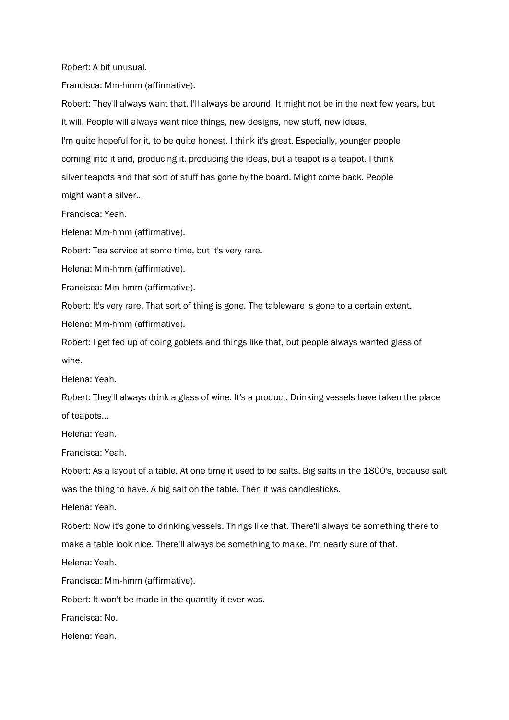Robert: A bit unusual.

Francisca: Mm-hmm (affirmative).

Robert: They'll always want that. I'll always be around. It might not be in the next few years, but it will. People will always want nice things, new designs, new stuff, new ideas. I'm quite hopeful for it, to be quite honest. I think it's great. Especially, younger people coming into it and, producing it, producing the ideas, but a teapot is a teapot. I think silver teapots and that sort of stuff has gone by the board. Might come back. People might want a silver...

Francisca: Yeah.

Helena: Mm-hmm (affirmative).

Robert: Tea service at some time, but it's very rare.

Helena: Mm-hmm (affirmative).

Francisca: Mm-hmm (affirmative).

Robert: It's very rare. That sort of thing is gone. The tableware is gone to a certain extent. Helena: Mm-hmm (affirmative).

Robert: I get fed up of doing goblets and things like that, but people always wanted glass of wine.

Helena: Yeah.

Robert: They'll always drink a glass of wine. It's a product. Drinking vessels have taken the place of teapots...

Helena: Yeah.

Francisca: Yeah.

Robert: As a layout of a table. At one time it used to be salts. Big salts in the 1800's, because salt was the thing to have. A big salt on the table. Then it was candlesticks.

Helena: Yeah.

Robert: Now it's gone to drinking vessels. Things like that. There'll always be something there to make a table look nice. There'll always be something to make. I'm nearly sure of that.

Helena: Yeah.

Francisca: Mm-hmm (affirmative).

Robert: It won't be made in the quantity it ever was.

Francisca: No.

Helena: Yeah.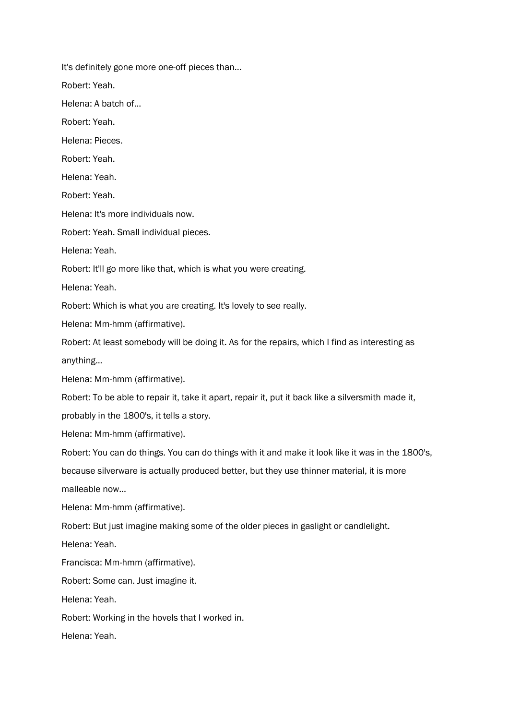It's definitely gone more one-off pieces than... Robert: Yeah. Helena: A batch of... Robert: Yeah. Helena: Pieces. Robert: Yeah. Helena: Yeah. Robert: Yeah. Helena: It's more individuals now. Robert: Yeah. Small individual pieces. Helena: Yeah. Robert: It'll go more like that, which is what you were creating. Helena: Yeah. Robert: Which is what you are creating. It's lovely to see really. Helena: Mm-hmm (affirmative). Robert: At least somebody will be doing it. As for the repairs, which I find as interesting as anything... Helena: Mm-hmm (affirmative). Robert: To be able to repair it, take it apart, repair it, put it back like a silversmith made it, probably in the 1800's, it tells a story. Helena: Mm-hmm (affirmative). Robert: You can do things. You can do things with it and make it look like it was in the 1800's, because silverware is actually produced better, but they use thinner material, it is more malleable now... Helena: Mm-hmm (affirmative). Robert: But just imagine making some of the older pieces in gaslight or candlelight. Helena: Yeah. Francisca: Mm-hmm (affirmative). Robert: Some can. Just imagine it. Helena: Yeah. Robert: Working in the hovels that I worked in. Helena: Yeah.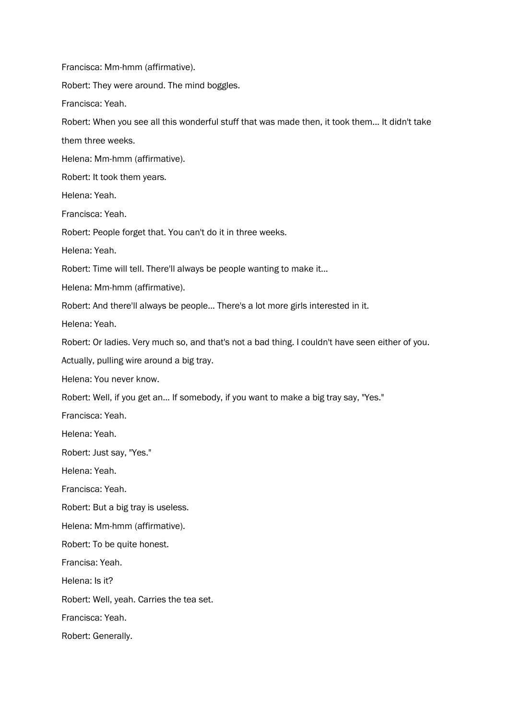Francisca: Mm-hmm (affirmative). Robert: They were around. The mind boggles. Francisca: Yeah. Robert: When you see all this wonderful stuff that was made then, it took them... It didn't take them three weeks. Helena: Mm-hmm (affirmative). Robert: It took them years. Helena: Yeah. Francisca: Yeah. Robert: People forget that. You can't do it in three weeks. Helena: Yeah. Robert: Time will tell. There'll always be people wanting to make it... Helena: Mm-hmm (affirmative). Robert: And there'll always be people... There's a lot more girls interested in it. Helena: Yeah. Robert: Or ladies. Very much so, and that's not a bad thing. I couldn't have seen either of you. Actually, pulling wire around a big tray. Helena: You never know. Robert: Well, if you get an... If somebody, if you want to make a big tray say, "Yes." Francisca: Yeah. Helena: Yeah. Robert: Just say, "Yes." Helena: Yeah. Francisca: Yeah. Robert: But a big tray is useless. Helena: Mm-hmm (affirmative). Robert: To be quite honest. Francisa: Yeah. Helena: Is it? Robert: Well, yeah. Carries the tea set. Francisca: Yeah. Robert: Generally.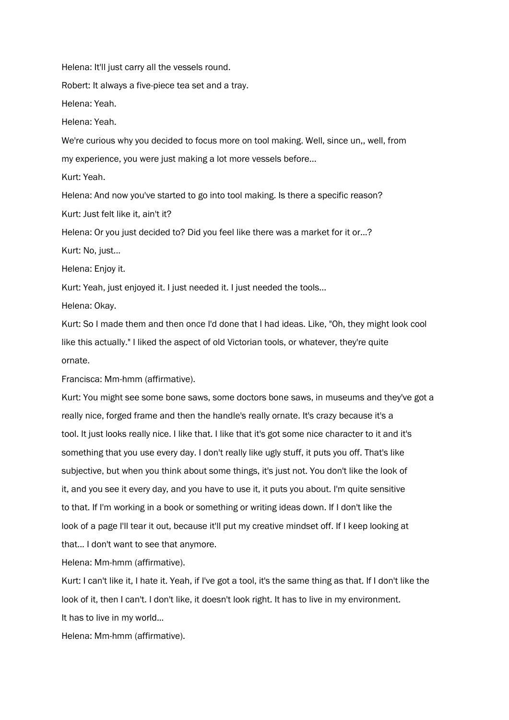Helena: It'll just carry all the vessels round.

Robert: It always a five-piece tea set and a tray.

Helena: Yeah.

Helena: Yeah.

We're curious why you decided to focus more on tool making. Well, since un,, well, from my experience, you were just making a lot more vessels before...

Kurt: Yeah.

Helena: And now you've started to go into tool making. Is there a specific reason?

Kurt: Just felt like it, ain't it?

Helena: Or you just decided to? Did you feel like there was a market for it or...?

Kurt: No, just...

Helena: Enjoy it.

Kurt: Yeah, just enjoyed it. I just needed it. I just needed the tools...

Helena: Okay.

Kurt: So I made them and then once I'd done that I had ideas. Like, "Oh, they might look cool like this actually." I liked the aspect of old Victorian tools, or whatever, they're quite ornate.

Francisca: Mm-hmm (affirmative).

Kurt: You might see some bone saws, some doctors bone saws, in museums and they've got a really nice, forged frame and then the handle's really ornate. It's crazy because it's a tool. It just looks really nice. I like that. I like that it's got some nice character to it and it's something that you use every day. I don't really like ugly stuff, it puts you off. That's like subjective, but when you think about some things, it's just not. You don't like the look of it, and you see it every day, and you have to use it, it puts you about. I'm quite sensitive to that. If I'm working in a book or something or writing ideas down. If I don't like the look of a page I'll tear it out, because it'll put my creative mindset off. If I keep looking at that... I don't want to see that anymore.

Helena: Mm-hmm (affirmative).

Kurt: I can't like it, I hate it. Yeah, if I've got a tool, it's the same thing as that. If I don't like the look of it, then I can't. I don't like, it doesn't look right. It has to live in my environment. It has to live in my world...

Helena: Mm-hmm (affirmative).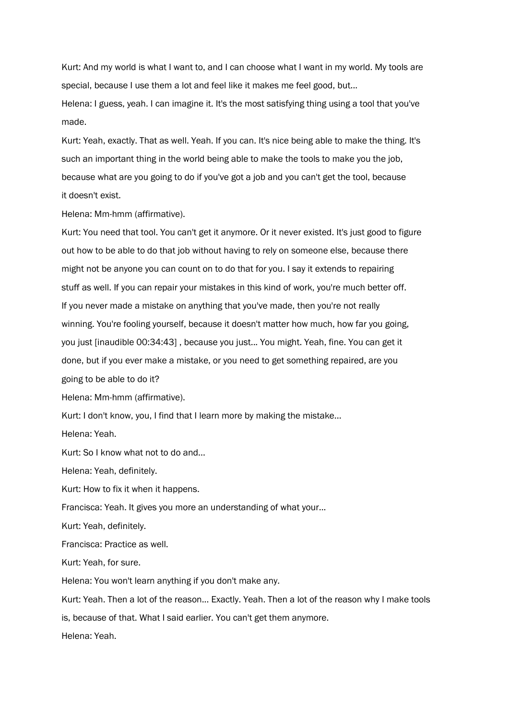Kurt: And my world is what I want to, and I can choose what I want in my world. My tools are special, because I use them a lot and feel like it makes me feel good, but...

Helena: I guess, yeah. I can imagine it. It's the most satisfying thing using a tool that you've made.

Kurt: Yeah, exactly. That as well. Yeah. If you can. It's nice being able to make the thing. It's such an important thing in the world being able to make the tools to make you the job, because what are you going to do if you've got a job and you can't get the tool, because it doesn't exist.

Helena: Mm-hmm (affirmative).

Kurt: You need that tool. You can't get it anymore. Or it never existed. It's just good to figure out how to be able to do that job without having to rely on someone else, because there might not be anyone you can count on to do that for you. I say it extends to repairing stuff as well. If you can repair your mistakes in this kind of work, you're much better off. If you never made a mistake on anything that you've made, then you're not really winning. You're fooling yourself, because it doesn't matter how much, how far you going, you just [inaudible 00:34:43] , because you just... You might. Yeah, fine. You can get it done, but if you ever make a mistake, or you need to get something repaired, are you

going to be able to do it?

Helena: Mm-hmm (affirmative).

Kurt: I don't know, you, I find that I learn more by making the mistake...

Helena: Yeah.

Kurt: So I know what not to do and...

Helena: Yeah, definitely.

Kurt: How to fix it when it happens.

Francisca: Yeah. It gives you more an understanding of what your...

Kurt: Yeah, definitely.

Francisca: Practice as well.

Kurt: Yeah, for sure.

Helena: You won't learn anything if you don't make any.

Kurt: Yeah. Then a lot of the reason... Exactly. Yeah. Then a lot of the reason why I make tools is, because of that. What I said earlier. You can't get them anymore.

Helena: Yeah.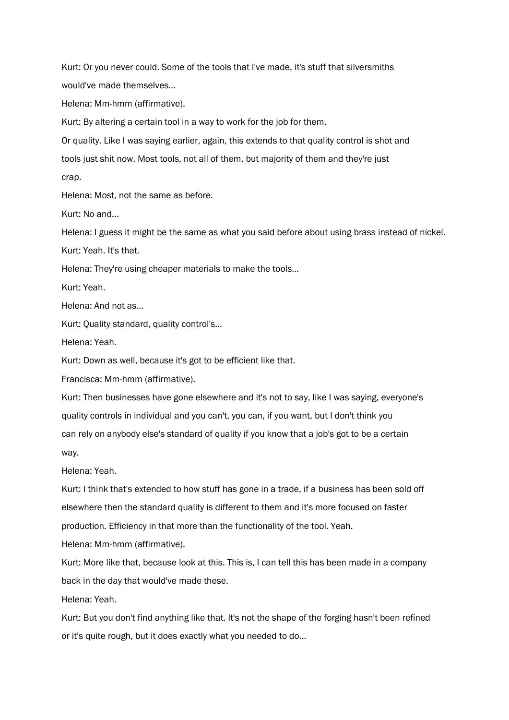Kurt: Or you never could. Some of the tools that I've made, it's stuff that silversmiths would've made themselves...

Helena: Mm-hmm (affirmative).

Kurt: By altering a certain tool in a way to work for the job for them.

Or quality. Like I was saying earlier, again, this extends to that quality control is shot and tools just shit now. Most tools, not all of them, but majority of them and they're just crap.

Helena: Most, not the same as before.

Kurt: No and...

Helena: I guess it might be the same as what you said before about using brass instead of nickel.

Kurt: Yeah. It's that.

Helena: They're using cheaper materials to make the tools...

Kurt: Yeah.

Helena: And not as...

Kurt: Quality standard, quality control's...

Helena: Yeah.

Kurt: Down as well, because it's got to be efficient like that.

Francisca: Mm-hmm (affirmative).

Kurt: Then businesses have gone elsewhere and it's not to say, like I was saying, everyone's quality controls in individual and you can't, you can, if you want, but I don't think you can rely on anybody else's standard of quality if you know that a job's got to be a certain way.

Helena: Yeah.

Kurt: I think that's extended to how stuff has gone in a trade, if a business has been sold off elsewhere then the standard quality is different to them and it's more focused on faster production. Efficiency in that more than the functionality of the tool. Yeah.

Helena: Mm-hmm (affirmative).

Kurt: More like that, because look at this. This is, I can tell this has been made in a company back in the day that would've made these.

Helena: Yeah.

Kurt: But you don't find anything like that. It's not the shape of the forging hasn't been refined or it's quite rough, but it does exactly what you needed to do...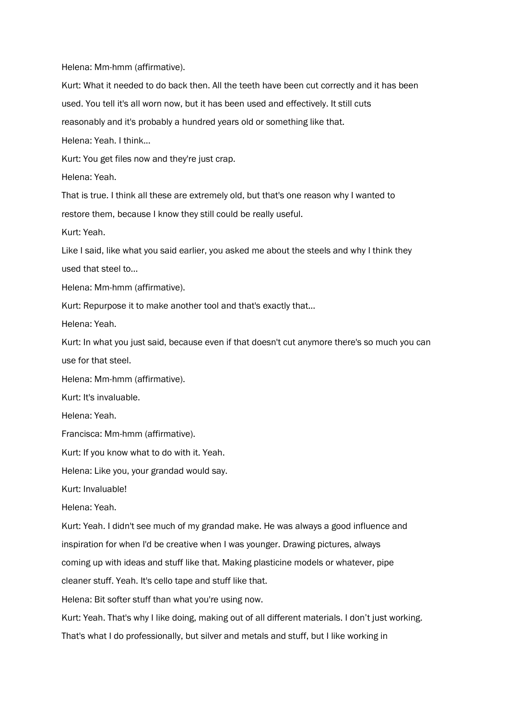Helena: Mm-hmm (affirmative).

Kurt: What it needed to do back then. All the teeth have been cut correctly and it has been used. You tell it's all worn now, but it has been used and effectively. It still cuts reasonably and it's probably a hundred years old or something like that. Helena: Yeah. I think... Kurt: You get files now and they're just crap. Helena: Yeah. That is true. I think all these are extremely old, but that's one reason why I wanted to restore them, because I know they still could be really useful. Kurt: Yeah. Like I said, like what you said earlier, you asked me about the steels and why I think they used that steel to... Helena: Mm-hmm (affirmative). Kurt: Repurpose it to make another tool and that's exactly that... Helena: Yeah. Kurt: In what you just said, because even if that doesn't cut anymore there's so much you can use for that steel. Helena: Mm-hmm (affirmative). Kurt: It's invaluable.

Helena: Yeah.

Francisca: Mm-hmm (affirmative).

Kurt: If you know what to do with it. Yeah.

Helena: Like you, your grandad would say.

Kurt: Invaluable!

Helena: Yeah.

Kurt: Yeah. I didn't see much of my grandad make. He was always a good influence and inspiration for when I'd be creative when I was younger. Drawing pictures, always

coming up with ideas and stuff like that. Making plasticine models or whatever, pipe

cleaner stuff. Yeah. It's cello tape and stuff like that.

Helena: Bit softer stuff than what you're using now.

Kurt: Yeah. That's why I like doing, making out of all different materials. I don't just working.

That's what I do professionally, but silver and metals and stuff, but I like working in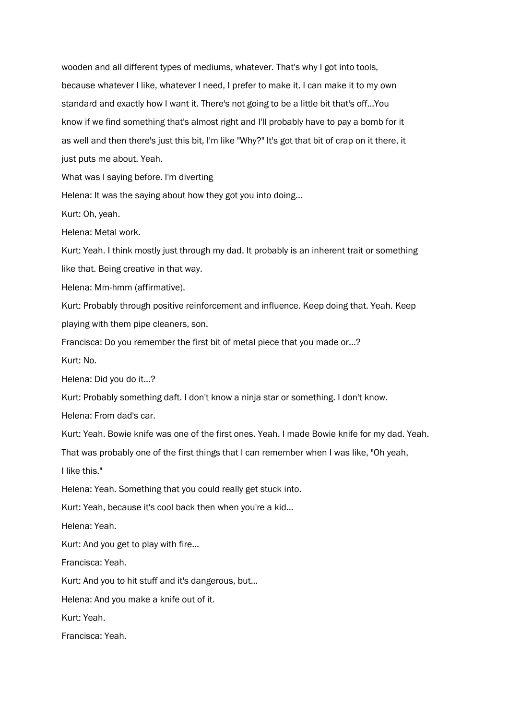wooden and all different types of mediums, whatever. That's why I got into tools, because whatever I like, whatever I need, I prefer to make it. I can make it to my own standard and exactly how I want it. There's not going to be a little bit that's off...You know if we find something that's almost right and I'll probably have to pay a bomb for it as well and then there's just this bit, I'm like "Why?" It's got that bit of crap on it there, it just puts me about. Yeah.

What was I saying before. I'm diverting

Helena: It was the saying about how they got you into doing...

Kurt: Oh, yeah.

Helena: Metal work.

Kurt: Yeah. I think mostly just through my dad. It probably is an inherent trait or something like that. Being creative in that way.

Helena: Mm-hmm (affirmative).

Kurt: Probably through positive reinforcement and influence. Keep doing that. Yeah. Keep playing with them pipe cleaners, son.

Francisca: Do you remember the first bit of metal piece that you made or...?

Kurt: No.

Helena: Did you do it...?

Kurt: Probably something daft. I don't know a ninja star or something. I don't know.

Helena: From dad's car.

Kurt: Yeah. Bowie knife was one of the first ones. Yeah. I made Bowie knife for my dad. Yeah.

That was probably one of the first things that I can remember when I was like, "Oh yeah,

I like this."

Helena: Yeah. Something that you could really get stuck into.

Kurt: Yeah, because it's cool back then when you're a kid...

Helena: Yeah.

Kurt: And you get to play with fire...

Francisca: Yeah.

Kurt: And you to hit stuff and it's dangerous, but...

Helena: And you make a knife out of it.

Kurt: Yeah.

Francisca: Yeah.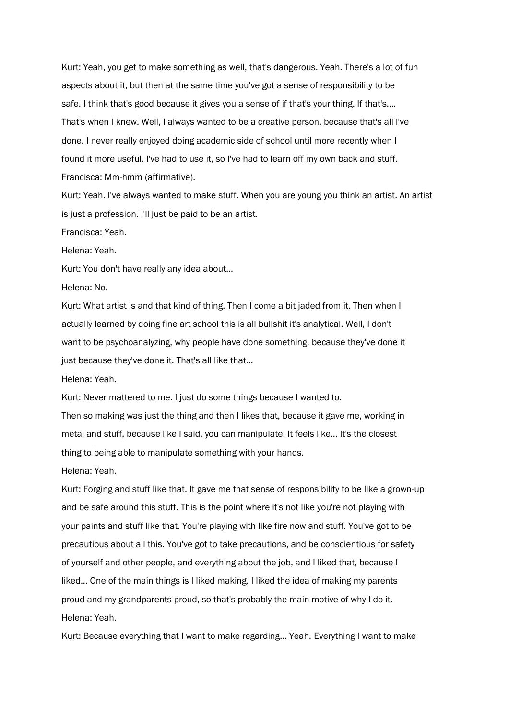Kurt: Yeah, you get to make something as well, that's dangerous. Yeah. There's a lot of fun aspects about it, but then at the same time you've got a sense of responsibility to be safe. I think that's good because it gives you a sense of if that's your thing. If that's.... That's when I knew. Well, I always wanted to be a creative person, because that's all I've done. I never really enjoyed doing academic side of school until more recently when I found it more useful. I've had to use it, so I've had to learn off my own back and stuff. Francisca: Mm-hmm (affirmative).

Kurt: Yeah. I've always wanted to make stuff. When you are young you think an artist. An artist is just a profession. I'll just be paid to be an artist.

Francisca: Yeah.

Helena: Yeah.

Kurt: You don't have really any idea about...

Helena: No.

Kurt: What artist is and that kind of thing. Then I come a bit jaded from it. Then when I actually learned by doing fine art school this is all bullshit it's analytical. Well, I don't want to be psychoanalyzing, why people have done something, because they've done it just because they've done it. That's all like that...

Helena: Yeah.

Kurt: Never mattered to me. I just do some things because I wanted to.

Then so making was just the thing and then I likes that, because it gave me, working in metal and stuff, because like I said, you can manipulate. It feels like... It's the closest thing to being able to manipulate something with your hands.

Helena: Yeah.

Kurt: Forging and stuff like that. It gave me that sense of responsibility to be like a grown-up and be safe around this stuff. This is the point where it's not like you're not playing with your paints and stuff like that. You're playing with like fire now and stuff. You've got to be precautious about all this. You've got to take precautions, and be conscientious for safety of yourself and other people, and everything about the job, and I liked that, because I liked... One of the main things is I liked making. I liked the idea of making my parents proud and my grandparents proud, so that's probably the main motive of why I do it. Helena: Yeah.

Kurt: Because everything that I want to make regarding... Yeah. Everything I want to make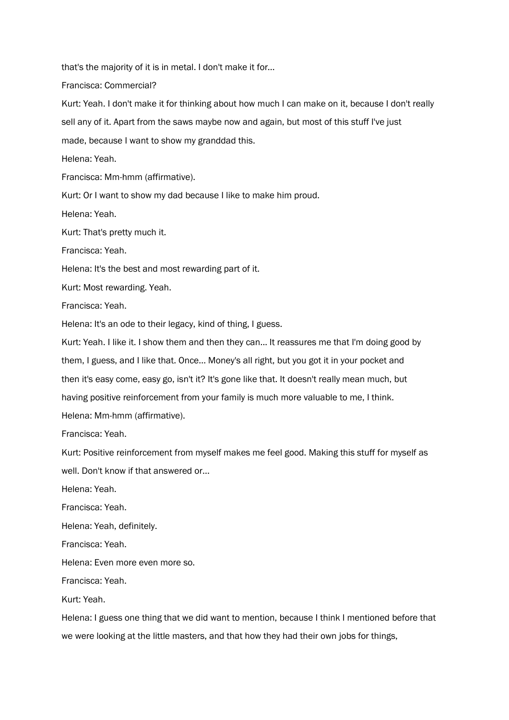that's the majority of it is in metal. I don't make it for...

Francisca: Commercial?

Kurt: Yeah. I don't make it for thinking about how much I can make on it, because I don't really

sell any of it. Apart from the saws maybe now and again, but most of this stuff I've just

made, because I want to show my granddad this.

Helena: Yeah.

Francisca: Mm-hmm (affirmative).

Kurt: Or I want to show my dad because I like to make him proud.

Helena: Yeah.

Kurt: That's pretty much it.

Francisca: Yeah.

Helena: It's the best and most rewarding part of it.

Kurt: Most rewarding. Yeah.

Francisca: Yeah.

Helena: It's an ode to their legacy, kind of thing, I guess.

Kurt: Yeah. I like it. I show them and then they can... It reassures me that I'm doing good by them, I guess, and I like that. Once... Money's all right, but you got it in your pocket and then it's easy come, easy go, isn't it? It's gone like that. It doesn't really mean much, but having positive reinforcement from your family is much more valuable to me, I think. Helena: Mm-hmm (affirmative).

Francisca: Yeah.

Kurt: Positive reinforcement from myself makes me feel good. Making this stuff for myself as well. Don't know if that answered or...

Helena: Yeah.

Francisca: Yeah.

Helena: Yeah, definitely.

Francisca: Yeah.

Helena: Even more even more so.

Francisca: Yeah.

Kurt: Yeah.

Helena: I guess one thing that we did want to mention, because I think I mentioned before that we were looking at the little masters, and that how they had their own jobs for things,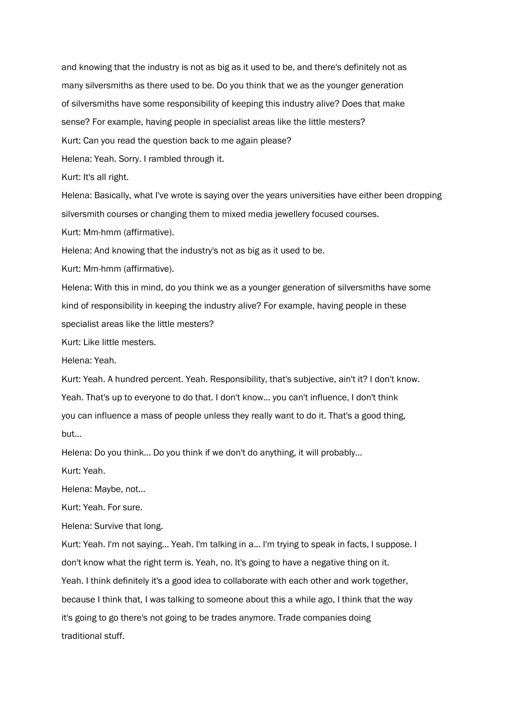and knowing that the industry is not as big as it used to be, and there's definitely not as many silversmiths as there used to be. Do you think that we as the younger generation of silversmiths have some responsibility of keeping this industry alive? Does that make sense? For example, having people in specialist areas like the little mesters? Kurt: Can you read the question back to me again please? Helena: Yeah. Sorry. I rambled through it. Kurt: It's all right. Helena: Basically, what I've wrote is saying over the years universities have either been dropping

silversmith courses or changing them to mixed media jewellery focused courses. Kurt: Mm-hmm (affirmative).

Helena: And knowing that the industry's not as big as it used to be.

Kurt: Mm-hmm (affirmative).

Helena: With this in mind, do you think we as a younger generation of silversmiths have some kind of responsibility in keeping the industry alive? For example, having people in these specialist areas like the little mesters?

Kurt: Like little mesters.

Helena: Yeah.

Kurt: Yeah. A hundred percent. Yeah. Responsibility, that's subjective, ain't it? I don't know. Yeah. That's up to everyone to do that. I don't know… you can't influence, I don't think you can influence a mass of people unless they really want to do it. That's a good thing, but...

Helena: Do you think... Do you think if we don't do anything, it will probably...

Kurt: Yeah.

Helena: Maybe, not...

Kurt: Yeah. For sure.

Helena: Survive that long.

Kurt: Yeah. I'm not saying... Yeah. I'm talking in a... I'm trying to speak in facts, I suppose. I don't know what the right term is. Yeah, no. It's going to have a negative thing on it. Yeah. I think definitely it's a good idea to collaborate with each other and work together, because I think that, I was talking to someone about this a while ago, I think that the way it's going to go there's not going to be trades anymore. Trade companies doing traditional stuff.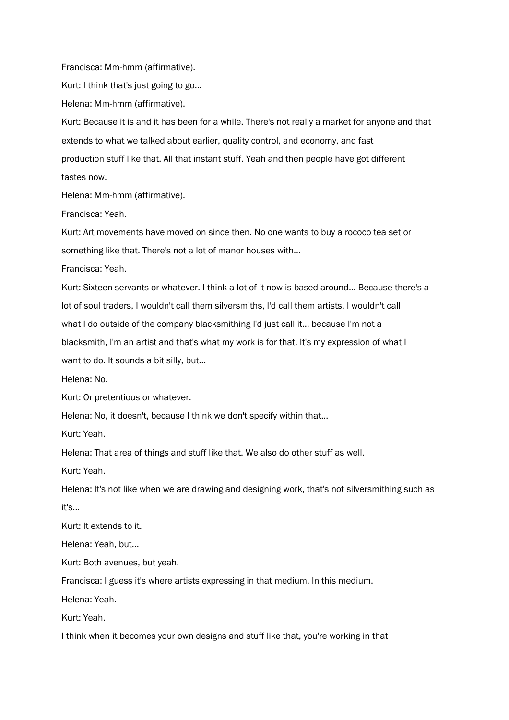Francisca: Mm-hmm (affirmative).

Kurt: I think that's just going to go...

Helena: Mm-hmm (affirmative).

Kurt: Because it is and it has been for a while. There's not really a market for anyone and that extends to what we talked about earlier, quality control, and economy, and fast production stuff like that. All that instant stuff. Yeah and then people have got different tastes now.

Helena: Mm-hmm (affirmative).

Francisca: Yeah.

Kurt: Art movements have moved on since then. No one wants to buy a rococo tea set or something like that. There's not a lot of manor houses with...

Francisca: Yeah.

Kurt: Sixteen servants or whatever. I think a lot of it now is based around... Because there's a lot of soul traders, I wouldn't call them silversmiths, I'd call them artists. I wouldn't call what I do outside of the company blacksmithing I'd just call it... because I'm not a blacksmith, I'm an artist and that's what my work is for that. It's my expression of what I want to do. It sounds a bit silly, but...

Helena: No.

Kurt: Or pretentious or whatever.

Helena: No, it doesn't, because I think we don't specify within that...

Kurt: Yeah.

Helena: That area of things and stuff like that. We also do other stuff as well.

Kurt: Yeah.

Helena: It's not like when we are drawing and designing work, that's not silversmithing such as it's...

Kurt: It extends to it.

Helena: Yeah, but...

Kurt: Both avenues, but yeah.

Francisca: I guess it's where artists expressing in that medium. In this medium.

Helena: Yeah.

Kurt: Yeah.

I think when it becomes your own designs and stuff like that, you're working in that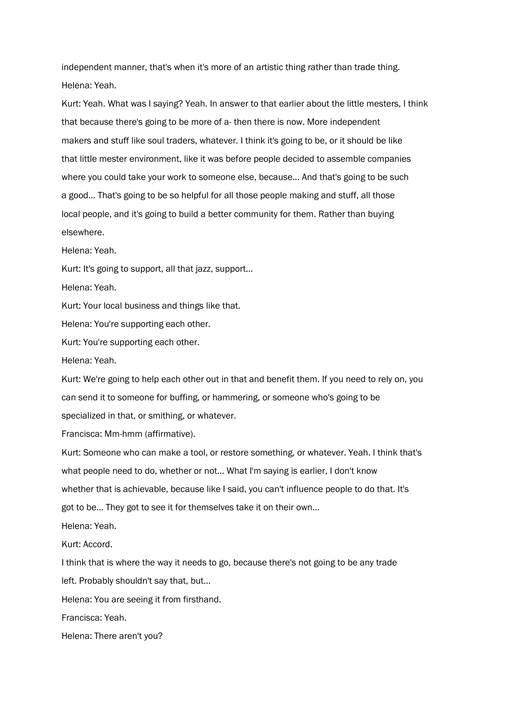independent manner, that's when it's more of an artistic thing rather than trade thing. Helena: Yeah.

Kurt: Yeah. What was I saying? Yeah. In answer to that earlier about the little mesters, I think that because there's going to be more of a- then there is now. More independent makers and stuff like soul traders, whatever. I think it's going to be, or it should be like that little mester environment, like it was before people decided to assemble companies where you could take your work to someone else, because... And that's going to be such a good... That's going to be so helpful for all those people making and stuff, all those local people, and it's going to build a better community for them. Rather than buying elsewhere.

Helena: Yeah.

Kurt: It's going to support, all that jazz, support...

Helena: Yeah.

Kurt: Your local business and things like that.

Helena: You're supporting each other.

Kurt: You're supporting each other.

Helena: Yeah.

Kurt: We're going to help each other out in that and benefit them. If you need to rely on, you can send it to someone for buffing, or hammering, or someone who's going to be specialized in that, or smithing, or whatever.

Francisca: Mm-hmm (affirmative).

Kurt: Someone who can make a tool, or restore something, or whatever. Yeah. I think that's what people need to do, whether or not... What I'm saying is earlier, I don't know whether that is achievable, because like I said, you can't influence people to do that. It's got to be... They got to see it for themselves take it on their own...

Helena: Yeah.

Kurt: Accord.

I think that is where the way it needs to go, because there's not going to be any trade left. Probably shouldn't say that, but...

Helena: You are seeing it from firsthand.

Francisca: Yeah.

Helena: There aren't you?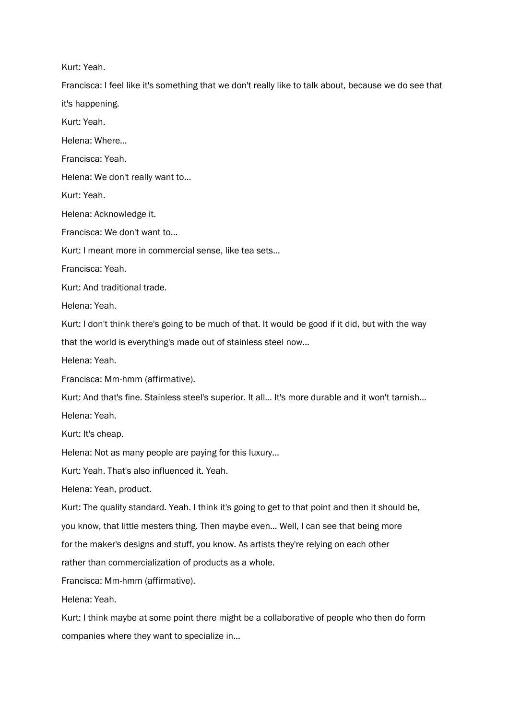Kurt: Yeah.

Francisca: I feel like it's something that we don't really like to talk about, because we do see that it's happening.

Kurt: Yeah.

Helena: Where...

Francisca: Yeah.

Helena: We don't really want to...

Kurt: Yeah.

Helena: Acknowledge it.

Francisca: We don't want to...

Kurt: I meant more in commercial sense, like tea sets...

Francisca: Yeah.

Kurt: And traditional trade.

Helena: Yeah.

Kurt: I don't think there's going to be much of that. It would be good if it did, but with the way

that the world is everything's made out of stainless steel now...

Helena: Yeah.

Francisca: Mm-hmm (affirmative).

Kurt: And that's fine. Stainless steel's superior. It all... It's more durable and it won't tarnish...

Helena: Yeah.

Kurt: It's cheap.

Helena: Not as many people are paying for this luxury…

Kurt: Yeah. That's also influenced it. Yeah.

Helena: Yeah, product.

Kurt: The quality standard. Yeah. I think it's going to get to that point and then it should be,

you know, that little mesters thing. Then maybe even... Well, I can see that being more

for the maker's designs and stuff, you know. As artists they're relying on each other

rather than commercialization of products as a whole.

Francisca: Mm-hmm (affirmative).

Helena: Yeah.

Kurt: I think maybe at some point there might be a collaborative of people who then do form companies where they want to specialize in...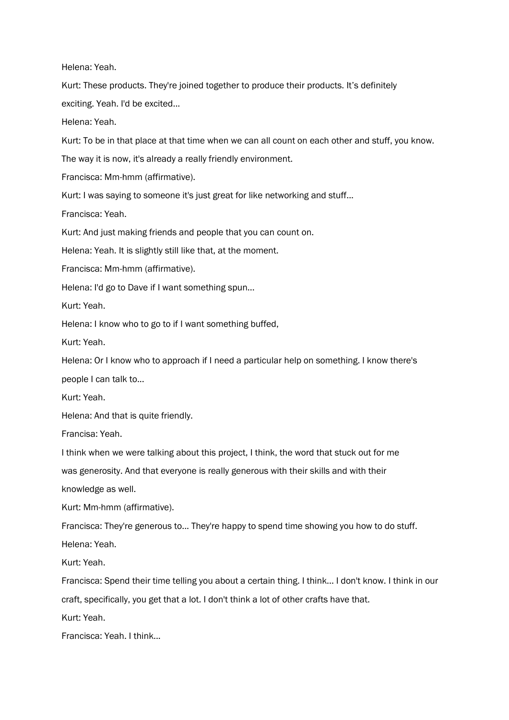Helena: Yeah.

Kurt: These products. They're joined together to produce their products. It's definitely exciting. Yeah. I'd be excited...

Helena: Yeah.

Kurt: To be in that place at that time when we can all count on each other and stuff, you know.

The way it is now, it's already a really friendly environment.

Francisca: Mm-hmm (affirmative).

Kurt: I was saying to someone it's just great for like networking and stuff...

Francisca: Yeah.

Kurt: And just making friends and people that you can count on.

Helena: Yeah. It is slightly still like that, at the moment.

Francisca: Mm-hmm (affirmative).

Helena: I'd go to Dave if I want something spun...

Kurt: Yeah.

Helena: I know who to go to if I want something buffed,

Kurt: Yeah.

Helena: Or I know who to approach if I need a particular help on something. I know there's people I can talk to...

Kurt: Yeah.

Helena: And that is quite friendly.

Francisa: Yeah.

I think when we were talking about this project, I think, the word that stuck out for me

was generosity. And that everyone is really generous with their skills and with their

knowledge as well.

Kurt: Mm-hmm (affirmative).

Francisca: They're generous to... They're happy to spend time showing you how to do stuff.

Helena: Yeah.

Kurt: Yeah.

Francisca: Spend their time telling you about a certain thing. I think... I don't know. I think in our craft, specifically, you get that a lot. I don't think a lot of other crafts have that.

Kurt: Yeah.

Francisca: Yeah. I think...